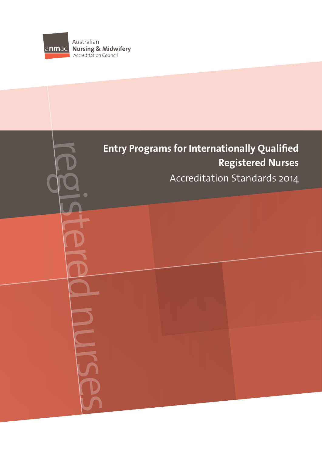

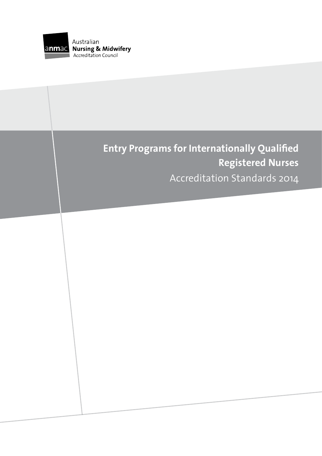

# **Entry Programs for Internationally Qualified Registered Nurses** Accreditation Standards 2014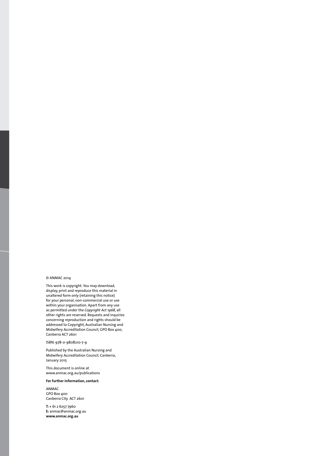#### © ANMAC 2014

This work is copyright. You may download, display, print and reproduce this material in unaltered form only (retaining this notice) for your personal, non-commercial use or use within your organisation. Apart from any use as permitted under the *Copyright Act 1968*, all other rights are reserved. Requests and inquiries concerning reproduction and rights should be addressed to Copyright, Australian Nursing and Midwifery Accreditation Council, GPO Box 400, Canberra ACT 2601

ISBN: 978-0-9808210-7-9

Published by the Australian Nursing and Midwifery Accreditation Council, Canberra, January 2015

This document is online at www.anmac.org.au/publications

#### **For further information, contact:**

ANMAC GPO Box 400 Canberra City ACT 2601

**T:** + 61 2 6257 7960 **E:** anmac@anmac.org.au **www.anmac.org.au**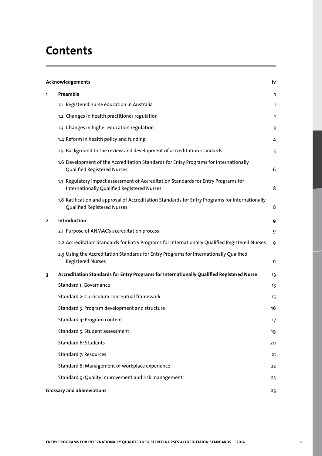# **Contents**

| Acknowledgements        |                                                                                                                                   | iv |  |
|-------------------------|-----------------------------------------------------------------------------------------------------------------------------------|----|--|
| 1.                      | Preamble                                                                                                                          | 1  |  |
|                         | 1.1 Registered nurse education in Australia                                                                                       | 1  |  |
|                         | 1.2 Changes in health practitioner regulation                                                                                     | 1  |  |
|                         | 1.3 Changes in higher education regulation                                                                                        | 3  |  |
|                         | 1.4 Reform in health policy and funding                                                                                           | 4  |  |
|                         | 1.5 Background to the review and development of accreditation standards                                                           | 5  |  |
|                         | 1.6 Development of the Accreditation Standards for Entry Programs for Internationally<br>Qualified Registered Nurses              | 6  |  |
|                         | 1.7 Regulatory impact assessment of Accreditation Standards for Entry Programs for<br>Internationally Qualified Registered Nurses | 8  |  |
|                         | 1.8 Ratification and approval of Accreditation Standards for Entry Programs for Internationally<br>Qualified Registered Nurses    | 8  |  |
| $\overline{\mathbf{z}}$ | Introduction                                                                                                                      | 9  |  |
|                         | 2.1 Purpose of ANMAC's accreditation process                                                                                      | 9  |  |
|                         | 2.2 Accreditation Standards for Entry Programs for Internationally Qualified Registered Nurses                                    | 9  |  |
|                         | 2.3 Using the Accreditation Standards for Entry Programs for Internationally Qualified<br><b>Registered Nurses</b>                | 11 |  |
| 3                       | Accreditation Standards for Entry Programs for Internationally Qualified Registered Nurse                                         | 13 |  |
|                         | Standard 1: Governance                                                                                                            | 13 |  |
|                         | Standard 2: Curriculum conceptual framework                                                                                       | 15 |  |
|                         | Standard 3: Program development and structure                                                                                     | 16 |  |
|                         | Standard 4: Program content                                                                                                       | 17 |  |
|                         | Standard 5: Student assessment                                                                                                    | 19 |  |
|                         | Standard 6: Students                                                                                                              | 20 |  |
|                         | Standard 7: Resources                                                                                                             | 21 |  |
|                         | Standard 8: Management of workplace experience                                                                                    | 22 |  |
|                         | Standard 9: Quality improvement and risk management                                                                               | 23 |  |
|                         | <b>Glossary and abbreviations</b><br>25                                                                                           |    |  |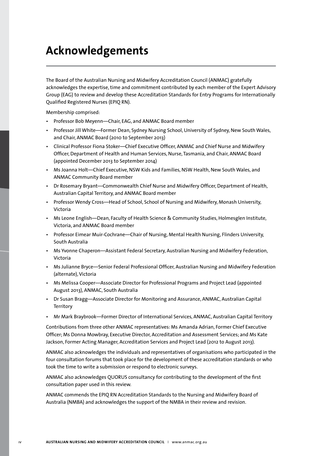# **Acknowledgements**

The Board of the Australian Nursing and Midwifery Accreditation Council (ANMAC) gratefully acknowledges the expertise, time and commitment contributed by each member of the Expert Advisory Group (EAG) to review and develop these Accreditation Standards for Entry Programs for Internationally Qualified Registered Nurses (EPIQ RN).

Membership comprised:

- Professor Bob Meyenn—Chair, EAG, and ANMAC Board member
- Professor Jill White—Former Dean, Sydney Nursing School, University of Sydney, New South Wales, and Chair, ANMAC Board (2010 to September 2013)
- Clinical Professor Fiona Stoker—Chief Executive Officer, ANMAC and Chief Nurse and Midwifery Officer, Department of Health and Human Services, Nurse, Tasmania, and Chair, ANMAC Board (appointed December 2013 to September 2014)
- Ms Joanna Holt—Chief Executive, NSW Kids and Families, NSW Health, New South Wales, and ANMAC Community Board member
- Dr Rosemary Bryant—Commonwealth Chief Nurse and Midwifery Officer, Department of Health, Australian Capital Territory, and ANMAC Board member
- Professor Wendy Cross—Head of School, School of Nursing and Midwifery, Monash University, Victoria
- Ms Leone English—Dean, Faculty of Health Science & Community Studies, Holmesglen Institute, Victoria, and ANMAC Board member
- Professor Eimear Muir-Cochrane—Chair of Nursing, Mental Health Nursing, Flinders University, South Australia
- Ms Yvonne Chaperon—Assistant Federal Secretary, Australian Nursing and Midwifery Federation, Victoria
- Ms Julianne Bryce—Senior Federal Professional Officer, Australian Nursing and Midwifery Federation (alternate), Victoria
- Ms Melissa Cooper—Associate Director for Professional Programs and Project Lead (appointed August 2013), ANMAC, South Australia
- Dr Susan Bragg—Associate Director for Monitoring and Assurance, ANMAC, Australian Capital **Territory**
- Mr Mark Braybrook—Former Director of International Services, ANMAC, Australian Capital Territory

Contributions from three other ANMAC representatives: Ms Amanda Adrian, Former Chief Executive Officer; Ms Donna Mowbray, Executive Director, Accreditation and Assessment Services; and Ms Kate Jackson, Former Acting Manager, Accreditation Services and Project Lead (2012 to August 2013).

ANMAC also acknowledges the individuals and representatives of organisations who participated in the four consultation forums that took place for the development of these accreditation standards or who took the time to write a submission or respond to electronic surveys.

ANMAC also acknowledges QUORUS consultancy for contributing to the development of the first consultation paper used in this review.

ANMAC commends the EPIQ RN Accreditation Standards to the Nursing and Midwifery Board of Australia (NMBA) and acknowledges the support of the NMBA in their review and revision.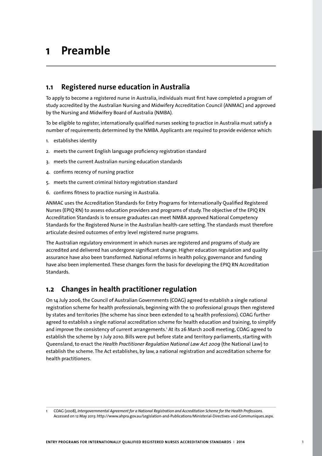# **1 Preamble**

## **1.1 Registered nurse education in Australia**

To apply to become a registered nurse in Australia, individuals must first have completed a program of study accredited by the Australian Nursing and Midwifery Accreditation Council (ANMAC) and approved by the Nursing and Midwifery Board of Australia (NMBA).

To be eligible to register, internationally qualified nurses seeking to practice in Australia must satisfy a number of requirements determined by the NMBA. Applicants are required to provide evidence which:

- 1. establishes identity
- 2. meets the current English language proficiency registration standard
- 3. meets the current Australian nursing education standards
- 4. confirms recency of nursing practice
- 5. meets the current criminal history registration standard
- 6. confirms fitness to practice nursing in Australia.

ANMAC uses the Accreditation Standards for Entry Programs for Internationally Qualified Registered Nurses (EPIQ RN) to assess education providers and programs of study. The objective of the EPIQ RN Accreditation Standards is to ensure graduates can meet NMBA approved National Competency Standards for the Registered Nurse in the Australian health-care setting. The standards must therefore articulate desired outcomes of entry level registered nurse programs.

The Australian regulatory environment in which nurses are registered and programs of study are accredited and delivered has undergone significant change. Higher education regulation and quality assurance have also been transformed. National reforms in health policy, governance and funding have also been implemented. These changes form the basis for developing the EPIQ RN Accreditation Standards.

# **1.2 Changes in health practitioner regulation**

On 14 July 2006, the Council of Australian Governments (COAG) agreed to establish a single national registration scheme for health professionals, beginning with the 10 professional groups then registered by states and territories (the scheme has since been extended to 14 health professions). COAG further agreed to establish a single national accreditation scheme for health education and training, to simplify and improve the consistency of current arrangements.' At its 26 March 2008 meeting, COAG agreed to establish the scheme by 1 July 2010. Bills were put before state and territory parliaments, starting with Queensland, to enact the *Health Practitioner Regulation National Law Act 2009* (the National Law) to establish the scheme. The Act establishes, by law, a national registration and accreditation scheme for health practitioners.

<sup>1</sup> COAG (2008), *Intergovernmental Agreement for a National Registration and Accreditation Scheme for the Health Professions.* Accessed on 12 May 2013: http://www.ahpra.gov.au/Legislation-and-Publications/Ministerial-Directives-and-Communiques.aspx.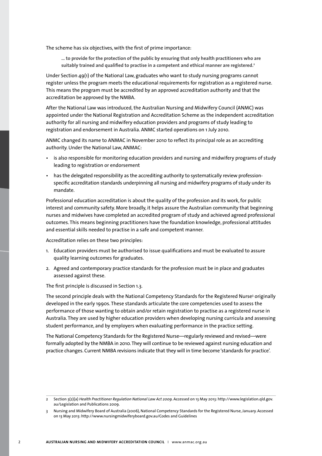The scheme has six objectives, with the first of prime importance:

**… to provide for the protection of the public by ensuring that only health practitioners who are suitably trained and qualified to practise in a competent and ethical manner are registered.2**

Under Section 49(1) of the National Law, graduates who want to study nursing programs cannot register unless the program meets the educational requirements for registration as a registered nurse. This means the program must be accredited by an approved accreditation authority and that the accreditation be approved by the NMBA.

After the National Law was introduced, the Australian Nursing and Midwifery Council (ANMC) was appointed under the National Registration and Accreditation Scheme as the independent accreditation authority for all nursing and midwifery education providers and programs of study leading to registration and endorsement in Australia. ANMC started operations on 1 July 2010.

ANMC changed its name to ANMAC in November 2010 to reflect its principal role as an accrediting authority. Under the National Law, ANMAC:

- is also responsible for monitoring education providers and nursing and midwifery programs of study leading to registration or endorsement
- has the delegated responsibility as the accrediting authority to systematically review professionspecific accreditation standards underpinning all nursing and midwifery programs of study under its mandate.

Professional education accreditation is about the quality of the profession and its work, for public interest and community safety. More broadly, it helps assure the Australian community that beginning nurses and midwives have completed an accredited program of study and achieved agreed professional outcomes. This means beginning practitioners have the foundation knowledge, professional attitudes and essential skills needed to practise in a safe and competent manner.

Accreditation relies on these two principles:

- 1. Education providers must be authorised to issue qualifications and must be evaluated to assure quality learning outcomes for graduates.
- 2. Agreed and contemporary practice standards for the profession must be in place and graduates assessed against these.

The first principle is discussed in Section 1.3.

The second principle deals with the National Competency Standards for the Registered Nurse<sup>3</sup> originally developed in the early 1990s. These standards articulate the core competencies used to assess the performance of those wanting to obtain and/or retain registration to practise as a registered nurse in Australia. They are used by higher education providers when developing nursing curricula and assessing student performance, and by employers when evaluating performance in the practice setting.

The National Competency Standards for the Registered Nurse—regularly reviewed and revised—were formally adopted by the NMBA in 2010. They will continue to be reviewed against nursing education and practice changes. Current NMBA revisions indicate that they will in time become 'standards for practice'.

<sup>2</sup> Section 3(2)(a) *Health Practitioner Regulation National Law Act 2009*. Accessed on 13 May 2013: http://www.legislation.qld.gov. au/Legislation and Publications 2009.

<sup>3</sup> Nursing and Midwifery Board of Australia (2006), National Competency Standards for the Registered Nurse, January. Accessed on 13 May 2013: http://www.nursingmidwiferyboard.gov.au/Codes and Guidelines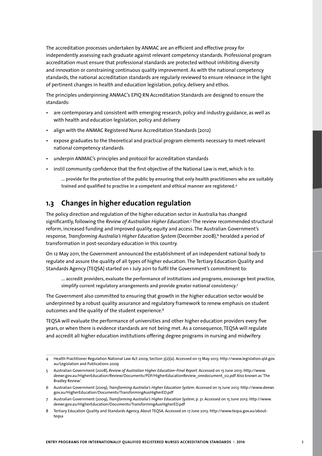The accreditation processes undertaken by ANMAC are an efficient and effective proxy for independently assessing each graduate against relevant competency standards. Professional program accreditation must ensure that professional standards are protected without inhibiting diversity and innovation or constraining continuous quality improvement. As with the national competency standards, the national accreditation standards are regularly reviewed to ensure relevance in the light of pertinent changes in health and education legislation, policy, delivery and ethos.

The principles underpinning ANMAC's EPIQ RN Accreditation Standards are designed to ensure the standards:

- are contemporary and consistent with emerging research, policy and industry guidance, as well as with health and education legislation, policy and delivery
- align with the ANMAC Registered Nurse Accreditation Standards (2012)
- expose graduates to the theoretical and practical program elements necessary to meet relevant national competency standards
- underpin ANMAC's principles and protocol for accreditation standards
- instil community confidence that the first objective of the National Law is met, which is to:

**… provide for the protection of the public by ensuring that only health practitioners who are suitably trained and qualified to practise in a competent and ethical manner are registered.4**

## **1.3 Changes in higher education regulation**

The policy direction and regulation of the higher education sector in Australia has changed significantly, following the *Review of Australian Higher Education*. 5 The review recommended structural reform, increased funding and improved quality, equity and access. The Australian Government's response, *Transforming Australia's Higher Education System* (December 2008),<sup>6</sup> heralded a period of transformation in post-secondary education in this country.

On 12 May 2011, the Government announced the establishment of an independent national body to regulate and assure the quality of all types of higher education. The Tertiary Education Quality and Standards Agency (TEQSA) started on 1 July 2011 to fulfil the Government's commitment to:

**... accredit providers, evaluate the performance of institutions and programs, encourage best practice, simplify current regulatory arrangements and provide greater national consistency.7**

The Government also committed to ensuring that growth in the higher education sector would be underpinned by a robust quality assurance and regulatory framework to renew emphasis on student outcomes and the quality of the student experience.<sup>8</sup>

TEQSA will evaluate the performance of universities and other higher education providers every five years, or when there is evidence standards are not being met. As a consequence, TEQSA will regulate and accredit all higher education institutions offering degree programs in nursing and midwifery.

8 Tertiary Education Quality and Standards Agency, About TEQSA. Accessed on 17 June 2013: http://www.teqsa.gov.au/aboutteqsa

<sup>4</sup> Health Practitioner Regulation National Law Act 2009, Section 3(2)(a). Accessed on 13 May 2013: http://www.legislation.qld.gov. au/Legislation and Publications 2009

<sup>5</sup> Australian Government (2008), *Review of Australian Higher Education–Final Report*. Accessed on 15 June 2013: http://www. deewr.gov.au/HigherEducation/Review/Documents/PDF/HigherEducationReview\_onedocument\_02.pdf Also known as 'The Bradley Review'.

<sup>6</sup> Australian Government (2009), *Transforming Australia's Higher Education System*. Accessed on 15 June 2013: http://www.deewr. gov.au/HigherEducation/Documents/TransformingAusHigherED.pdf

<sup>7</sup> Australian Government (2009), *Transforming Australia's Higher Education System*, p. 31. Accessed on 15 June 2013: http://www. deewr.gov.au/HigherEducation/Documents/TransformingAusHigherED.pdf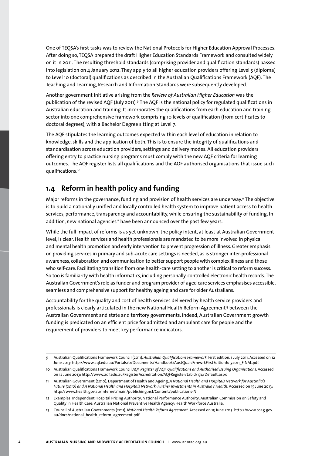One of TEQSA's first tasks was to review the National Protocols for Higher Education Approval Processes. After doing so, TEQSA prepared the draft Higher Education Standards Framework and consulted widely on it in 2011. The resulting threshold standards (comprising provider and qualification standards) passed into legislation on 4 January 2012. They apply to all higher education providers offering Level 5 (diploma) to Level 10 (doctoral) qualifications as described in the Australian Qualifications Framework (AQF). The Teaching and Learning, Research and Information Standards were subsequently developed.

Another government initiative arising from the *Review of Australian Higher Education* was the publication of the revised AQF (July 2011)*.* <sup>9</sup> The AQF is the national policy for regulated qualifications in Australian education and training. It incorporates the qualifications from each education and training sector into one comprehensive framework comprising 10 levels of qualification (from certificates to doctoral degrees), with a Bachelor Degree sitting at Level 7.

The AQF stipulates the learning outcomes expected within each level of education in relation to knowledge, skills and the application of both. This is to ensure the integrity of qualifications and standardisation across education providers, settings and delivery modes. All education providers offering entry to practice nursing programs must comply with the new AQF criteria for learning outcomes. The AQF register lists all qualifications and the AQF authorised organisations that issue such qualifications.10

# **1.4 Reform in health policy and funding**

Major reforms in the governance, funding and provision of health services are underway.<sup>11</sup> The objective is to build a nationally unified and locally controlled health system to improve patient access to health services, performance, transparency and accountability, while ensuring the sustainability of funding. In addition, new national agencies<sup>12</sup> have been announced over the past few years.

While the full impact of reforms is as yet unknown, the policy intent, at least at Australian Government level, is clear. Health services and health professionals are mandated to be more involved in physical and mental health promotion and early intervention to prevent progression of illness. Greater emphasis on providing services in primary and sub-acute care settings is needed, as is stronger inter-professional awareness, collaboration and communication to better support people with complex illness and those who self-care. Facilitating transition from one health-care setting to another is critical to reform success. So too is familiarity with health informatics, including personally-controlled electronic health records. The Australian Government's role as funder and program provider of aged care services emphasises accessible, seamless and comprehensive support for healthy ageing and care for older Australians.

Accountability for the quality and cost of health services delivered by health service providers and professionals is clearly articulated in the new National Health Reform Agreement<sup>13</sup> between the Australian Government and state and territory governments. Indeed, Australian Government growth funding is predicated on an efficient price for admitted and ambulant care for people and the requirement of providers to meet key performance indicators.

<sup>9</sup> Australian Qualifications Framework Council (2011), *Australian Qualifications Framework*, First edition, 1 July 2011. Accessed on 12 June 2013: http://www.aqf.edu.au/Portals/0/Documents/Handbook/AustQualsFrmwrkFirstEditionJuly2011\_FINAL.pdf.

<sup>10</sup> Australian Qualifications Framework Council *AQF Register of AQF Qualifications and Authorised Issuing Organisations*. Accessed on 12 June 2013: http://www.aqf.edu.au/RegisterAccreditation/AQFRegister/tabid/174/Default.aspx

<sup>11</sup> Australian Government (2010), Department of Health and Ageing, *A National Health and Hospitals Network for Australia's Future (2010) and A National Health and Hospitals Network: Further Investments in Australia's Health*. Accessed on 15 June 2013: http://www.health.gov.au/internet/main/publishing.nsf/Content/publications-N

<sup>12</sup> Examples: Independent Hospital Pricing Authority; National Performance Authority; Australian Commission on Safety and Quality in Health Care; Australian National Preventive Health Agency; Health Workforce Australia.

<sup>13</sup> Council of Australian Governments (2011), *National Health Reform Agreement*. Accessed on 15 June 2013: http://www.coag.gov. au/docs/national\_health\_reform\_agreement.pdf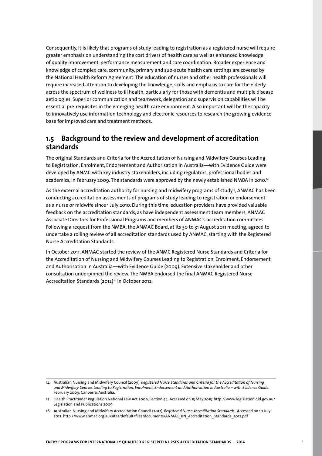Consequently, it is likely that programs of study leading to registration as a registered nurse will require greater emphasis on understanding the cost drivers of health care as well as enhanced knowledge of quality improvement, performance measurement and care coordination. Broader experience and knowledge of complex care, community, primary and sub-acute health care settings are covered by the National Health Reform Agreement. The education of nurses and other health professionals will require increased attention to developing the knowledge, skills and emphasis to care for the elderly across the spectrum of wellness to ill health, particularly for those with dementia and multiple disease aetiologies. Superior communication and teamwork, delegation and supervision capabilities will be essential pre-requisites in the emerging health care environment. Also important will be the capacity to innovatively use information technology and electronic resources to research the growing evidence base for improved care and treatment methods.

## **1.5 Background to the review and development of accreditation standards**

The original Standards and Criteria for the Accreditation of Nursing and Midwifery Courses Leading to Registration, Enrolment, Endorsement and Authorisation in Australia—with Evidence Guide were developed by ANMC with key industry stakeholders, including regulators, professional bodies and academics, in February 2009. The standards were approved by the newly established NMBA in 2010.14

As the external accreditation authority for nursing and midwifery programs of study<sup>15</sup>. ANMAC has been conducting accreditation assessments of programs of study leading to registration or endorsement as a nurse or midwife since 1 July 2010. During this time, education providers have provided valuable feedback on the accreditation standards, as have independent assessment team members, ANMAC Associate Directors for Professional Programs and members of ANMAC's accreditation committees. Following a request from the NMBA, the ANMAC Board, at its 30 to 31 August 2011 meeting, agreed to undertake a rolling review of all accreditation standards used by ANMAC, starting with the Registered Nurse Accreditation Standards.

In October 2011, ANMAC started the review of the ANMC Registered Nurse Standards and Criteria for the Accreditation of Nursing and Midwifery Courses Leading to Registration, Enrolment, Endorsement and Authorisation in Australia—with Evidence Guide (2009). Extensive stakeholder and other consultation underpinned the review. The NMBA endorsed the final ANMAC Registered Nurse Accreditation Standards (2012)<sup>16</sup> in October 2012.

<sup>14</sup> Australian Nursing and Midwifery Council (2009), *Registered Nurse Standards and Criteria for the Accreditation of Nursing and Midwifery Courses Leading to Registration, Enrolment, Endorsement and Authorisation in Australia – with Evidence Guide*. February 2009, Canberra, Australia.

<sup>15</sup> Health Practitioner Regulation National Law Act 2009, Section 44. Accessed on 13 May 2013: http://www.legislation.qld.gov.au/ Legislation and Publications 2009

<sup>16</sup> Australian Nursing and Midwifery Accreditation Council (2012), *Registered Nurse Accreditation Standards*. Accessed on 10 July 2013: http://www.anmac.org.au/sites/default/files/documents/ANMAC\_RN\_Accreditation\_Standards\_2012.pdf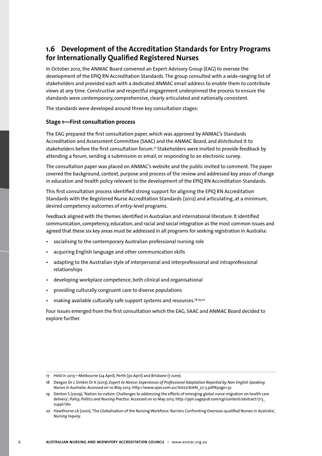# **1.6 Development of the Accreditation Standards for Entry Programs for Internationally Qualified Registered Nurses**

In October 2012, the ANMAC Board convened an Expert Advisory Group (EAG) to oversee the development of the EPIQ RN Accreditation Standards. The group consulted with a wide-ranging list of stakeholders and provided each with a dedicated ANMAC email address to enable them to contribute views at any time. Constructive and respectful engagement underpinned the process to ensure the standards were contemporary, comprehensive, clearly articulated and nationally consistent.

The standards were developed around three key consultation stages:

## **Stage 1—First consultation process**

The EAG prepared the first consultation paper, which was approved by ANMAC's Standards Accreditation and Assessment Committee (SAAC) and the ANMAC Board, and distributed it to stakeholders before the first consultation forum.17 Stakeholders were invited to provide feedback by attending a forum, sending a submission or email, or responding to an electronic survey.

The consultation paper was placed on ANMAC's website and the public invited to comment. The paper covered the background, context, purpose and process of the review and addressed key areas of change in education and health policy relevant to the development of the EPIQ RN Accreditation Standards.

This first consultation process identified strong support for aligning the EPIQ RN Accreditation Standards with the Registered Nurse Accreditation Standards (2012) and articulating, at a minimum, desired competency outcomes of entry-level programs.

Feedback aligned with the themes identified in Australian and international literature. It identified communication, competency, education, and racial and social integration as the most common issues and agreed that these six key areas must be addressed in all programs for seeking registration in Australia:

- socialising to the contemporary Australian professional nursing role
- acquiring English language and other communication skills
- adapting to the Australian style of interpersonal and interprofessional and intraprofessional relationships
- developing workplace competence, both clinical and organisational
- providing culturally congruent care to diverse populations
- making available culturally safe support systems and resources.18,19,20

Four issues emerged from the first consultation which the EAG, SAAC and ANMAC Board decided to explore further.

<sup>17</sup> Held in 2013—Melbourne (24 April), Perth (30 April) and Brisbane (7 June).

<sup>18</sup> Deegan Dr J, Simkin Dr K (2013), *Expert to Novice: Experiences of Professional Adaptation Reported by Non-English Speaking Nurses in Australia*. Accessed on 10 May 2013: http://www.ajan.com.au/Vol27/AJAN\_27-3.pdf#page=32

<sup>19</sup> Denton S (2009), 'Nation-to-nation: Challenges to addressing the effects of emerging global nurse migration on health care delivery', *Policy, Politics and Nursing Practice*. Accessed on 10 May 2013: http://ppn.sagepub.com/cgi/content/abstract/7/3\_ suppl/76s

<sup>20</sup> Hawthorne LA (2001), 'The Globalisation of the Nursing Workforce: Barriers Confronting Overseas-qualified Nurses in Australia', *Nursing Inquiry.*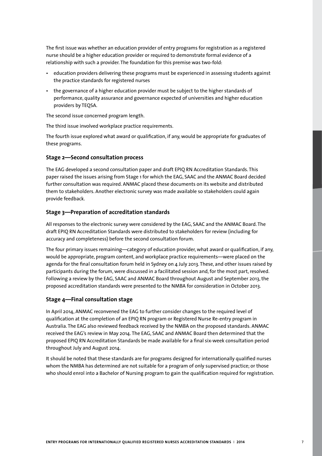The first issue was whether an education provider of entry programs for registration as a registered nurse should be a higher education provider or required to demonstrate formal evidence of a relationship with such a provider. The foundation for this premise was two-fold:

- education providers delivering these programs must be experienced in assessing students against the practice standards for registered nurses
- the governance of a higher education provider must be subject to the higher standards of performance, quality assurance and governance expected of universities and higher education providers by TEQSA.

The second issue concerned program length.

The third issue involved workplace practice requirements.

The fourth issue explored what award or qualification, if any, would be appropriate for graduates of these programs.

### **Stage 2—Second consultation process**

The EAG developed a second consultation paper and draft EPIQ RN Accreditation Standards. This paper raised the issues arising from Stage 1 for which the EAG, SAAC and the ANMAC Board decided further consultation was required. ANMAC placed these documents on its website and distributed them to stakeholders. Another electronic survey was made available so stakeholders could again provide feedback.

#### **Stage 3—Preparation of accreditation standards**

All responses to the electronic survey were considered by the EAG, SAAC and the ANMAC Board. The draft EPIQ RN Accreditation Standards were distributed to stakeholders for review (including for accuracy and completeness) before the second consultation forum.

The four primary issues remaining—category of education provider, what award or qualification, if any, would be appropriate, program content, and workplace practice requirements—were placed on the agenda for the final consultation forum held in Sydney on 4 July 2013. These, and other issues raised by participants during the forum, were discussed in a facilitated session and, for the most part, resolved. Following a review by the EAG, SAAC and ANMAC Board throughout August and September 2013, the proposed accreditation standards were presented to the NMBA for consideration in October 2013.

#### **Stage 4—Final consultation stage**

In April 2014, ANMAC reconvened the EAG to further consider changes to the required level of qualification at the completion of an EPIQ RN program or Registered Nurse Re-entry program in Australia. The EAG also reviewed feedback received by the NMBA on the proposed standards. ANMAC received the EAG's review in May 2014. The EAG, SAAC and ANMAC Board then determined that the proposed EPIQ RN Accreditation Standards be made available for a final six-week consultation period throughout July and August 2014.

It should be noted that these standards are for programs designed for internationally qualified nurses whom the NMBA has determined are not suitable for a program of only supervised practice; or those who should enrol into a Bachelor of Nursing program to gain the qualification required for registration.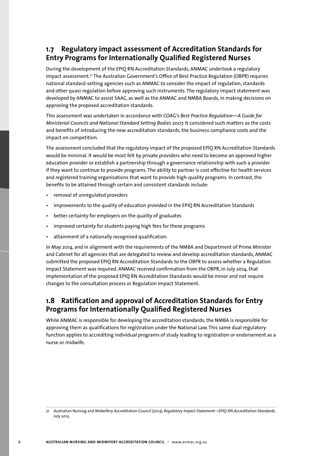# **1.7 Regulatory impact assessment of Accreditation Standards for Entry Programs for Internationally Qualified Registered Nurses**

During the development of the EPIQ RN Accreditation Standards, ANMAC undertook a regulatory impact assessment.21 The Australian Government's Office of Best Practice Regulation (OBPR) requires national standard-setting agencies such as ANMAC to consider the impact of regulation, standards and other quasi-regulation before approving such instruments. The regulatory impact statement was developed by ANMAC to assist SAAC, as well as the ANMAC and NMBA Boards, in making decisions on approving the proposed accreditation standards.

This assessment was undertaken in accordance with COAG's *Best Practice Regulation—A Guide for Ministerial Councils and National Standard Setting Bodies* 2007. It considered such matters as the costs and benefits of introducing the new accreditation standards, the business compliance costs and the impact on competition.

The assessment concluded that the regulatory impact of the proposed EPIQ RN Accreditation Standards would be minimal. It would be most felt by private providers who need to become an approved higher education provider or establish a partnership through a governance relationship with such a provider if they want to continue to provide programs. The ability to partner is cost effective for health services and registered training organisations that want to provide high-quality programs. In contrast, the benefits to be attained through certain and consistent standards include:

- removal of unregulated providers
- improvements to the quality of education provided in the EPIQ RN Accreditation Standards
- better certainty for employers on the quality of graduates
- improved certainty for students paying high fees for these programs
- attainment of a nationally recognised qualification.

In May 2014, and in alignment with the requirements of the NMBA and Department of Prime Minister and Cabinet for all agencies that are delegated to review and develop accreditation standards, ANMAC submitted the proposed EPIQ RN Accreditation Standards to the OBPR to assess whether a Regulation Impact Statement was required. ANMAC received confirmation from the OBPR, in July 2014, that implementation of the proposed EPIQ RN Accreditation Standards would be minor and not require changes to the consultation process or Regulation Impact Statement.

## **1.8 Ratification and approval of Accreditation Standards for Entry Programs for Internationally Qualified Registered Nurses**

While ANMAC is responsible for developing the accreditation standards, the NMBA is responsible for approving them as qualifications for registration under the National Law. This same dual regulatory function applies to accrediting individual programs of study leading to registration or endorsement as a nurse or midwife.

<sup>21</sup> Australian Nursing and Midwifery Accreditation Council (2013), *Regulatory Impact Statement—EPIQ-RN Accreditation Standards,*  July 2013.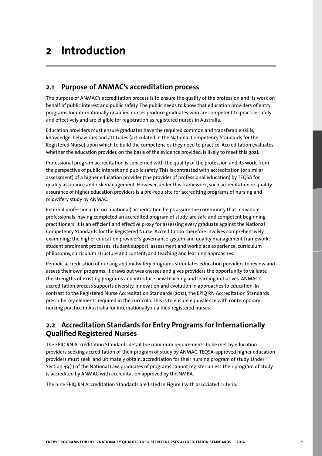# **2 Introduction**

## **2.1 Purpose of ANMAC's accreditation process**

The purpose of ANMAC's accreditation process is to ensure the quality of the profession and its work on behalf of public interest and public safety. The public needs to know that education providers of entry programs for internationally qualified nurses produce graduates who are competent to practise safely and effectively and are eligible for registration as registered nurses in Australia.

Education providers must ensure graduates have the required common and transferable skills, knowledge, behaviours and attitudes (articulated in the National Competency Standards for the Registered Nurse) upon which to build the competencies they need to practice. Accreditation evaluates whether the education provider, on the basis of the evidence provided, is likely to meet this goal.

Professional program accreditation is concerned with the quality of the profession and its work, from the perspective of public interest and public safety. This is contrasted with accreditation (or similar assessment) of a higher education provider (the provider of professional education) by TEQSA for quality assurance and risk management. However, under this framework, such accreditation or quality assurance of higher education providers is a pre-requisite for accrediting programs of nursing and midwifery study by ANMAC.

External professional (or occupational) accreditation helps assure the community that individual professionals, having completed an accredited program of study, are safe and competent beginning practitioners. It is an efficient and effective proxy for assessing every graduate against the National Competency Standards for the Registered Nurse. Accreditation therefore involves comprehensively examining: the higher education provider's governance system and quality management framework; student enrolment processes, student support, assessment and workplace experience; curriculum philosophy, curriculum structure and content; and teaching and learning approaches.

Periodic accreditation of nursing and midwifery programs stimulates education providers to review and assess their own programs. It draws out weaknesses and gives providers the opportunity to validate the strengths of existing programs and introduce new teaching and learning initiatives. ANMAC's accreditation process supports diversity, innovation and evolution in approaches to education. In contrast to the Registered Nurse Accreditation Standards (2012), the EPIQ RN Accreditation Standards prescribe key elements required in the curricula. This is to ensure equivalence with contemporary nursing practice in Australia for internationally qualified registered nurses.

# **2.2 Accreditation Standards for Entry Programs for Internationally Qualified Registered Nurses**

The EPIQ RN Accreditation Standards detail the minimum requirements to be met by education providers seeking accreditation of their program of study by ANMAC. TEQSA-approved higher education providers must seek, and ultimately obtain, accreditation for their nursing program of study. Under Section 49(1) of the National Law, graduates of programs cannot register unless their program of study is accredited by ANMAC with accreditation approved by the NMBA.

The nine EPIQ RN Accreditation Standards are listed in Figure 1 with associated criteria.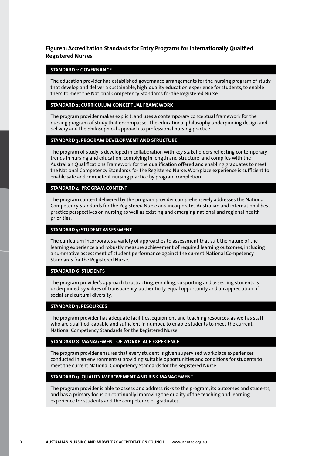## **Figure 1: Accreditation Standards for Entry Programs for Internationally Qualified Registered Nurses**

#### **STANDARD 1: GOVERNANCE**

The education provider has established governance arrangements for the nursing program of study that develop and deliver a sustainable, high-quality education experience for students, to enable them to meet the National Competency Standards for the Registered Nurse.

#### **STANDARD 2: CURRICULUM CONCEPTUAL FRAMEWORK**

The program provider makes explicit, and uses a contemporary conceptual framework for the nursing program of study that encompasses the educational philosophy underpinning design and delivery and the philosophical approach to professional nursing practice.

### **STANDARD 3: PROGRAM DEVELOPMENT AND STRUCTURE**

The program of study is developed in collaboration with key stakeholders reflecting contemporary trends in nursing and education; complying in length and structure and complies with the Australian Qualifications Framework for the qualification offered and enabling graduates to meet the National Competency Standards for the Registered Nurse. Workplace experience is sufficient to enable safe and competent nursing practice by program completion.

#### **STANDARD 4: PROGRAM CONTENT**

The program content delivered by the program provider comprehensively addresses the National Competency Standards for the Registered Nurse and incorporates Australian and international best practice perspectives on nursing as well as existing and emerging national and regional health priorities.

#### **STANDARD 5: STUDENT ASSESSMENT**

The curriculum incorporates a variety of approaches to assessment that suit the nature of the learning experience and robustly measure achievement of required learning outcomes, including a summative assessment of student performance against the current National Competency Standards for the Registered Nurse.

#### **STANDARD 6: STUDENTS**

The program provider's approach to attracting, enrolling, supporting and assessing students is underpinned by values of transparency, authenticity, equal opportunity and an appreciation of social and cultural diversity.

#### **STANDARD 7: RESOURCES**

The program provider has adequate facilities, equipment and teaching resources, as well as staff who are qualified, capable and sufficient in number, to enable students to meet the current National Competency Standards for the Registered Nurse.

#### **STANDARD 8: MANAGEMENT OF WORKPLACE EXPERIENCE**

The program provider ensures that every student is given supervised workplace experiences conducted in an environment(s) providing suitable opportunities and conditions for students to meet the current National Competency Standards for the Registered Nurse.

#### **STANDARD 9: QUALITY IMPROVEMENT AND RISK MANAGEMENT**

The program provider is able to assess and address risks to the program, its outcomes and students, and has a primary focus on continually improving the quality of the teaching and learning experience for students and the competence of graduates.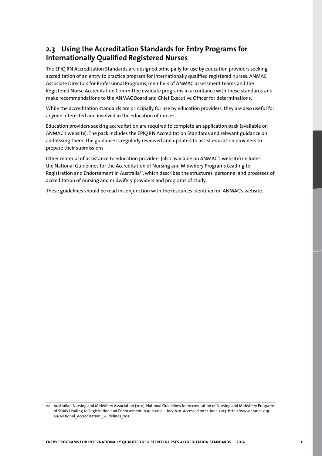# **2.3 Using the Accreditation Standards for Entry Programs for Internationally Qualified Registered Nurses**

The EPIQ RN Accreditation Standards are designed principally for use by education providers seeking accreditation of an entry to practice program for internationally qualified registered nurses. ANMAC Associate Directors for Professional Programs, members of ANMAC assessment teams and the Registered Nurse Accreditation Committee evaluate programs in accordance with these standards and make recommendations to the ANMAC Board and Chief Executive Officer for determinations.

While the accreditation standards are principally for use by education providers, they are also useful for anyone interested and involved in the education of nurses.

Education providers seeking accreditation are required to complete an application pack (available on ANMAC's website). The pack includes the EPIQ RN Accreditation Standards and relevant guidance on addressing them. The guidance is regularly reviewed and updated to assist education providers to prepare their submissions.

Other material of assistance to education providers (also available on ANMAC's website) includes the National Guidelines for the Accreditation of Nursing and Midwifery Programs Leading to Registration and Endorsement in Australia<sup>22</sup>, which describes the structures, personnel and processes of accreditation of nursing and midwifery providers and programs of study.

These guidelines should be read in conjunction with the resources identified on ANMAC's website.

<sup>22</sup> Australian Nursing and Midwifery Association (2011), National Guidelines for Accreditation of Nursing and Midwifery Programs of Study Leading to Registration and Endorsement in Australia—July 2011. Accessed on 14 June 2013: http://www.anmac.org. au/National\_Accreditation\_Guidelines\_201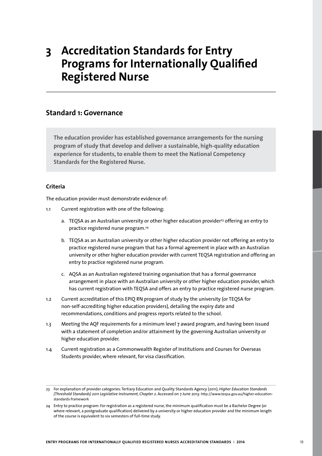# **3 Accreditation Standards for Entry Programs for Internationally Qualified Registered Nurse**

## **Standard 1: Governance**

**The education provider has established governance arrangements for the nursing program of study that develop and deliver a sustainable, high-quality education experience for students, to enable them to meet the National Competency Standards for the Registered Nurse.** 

## **Criteria**

The education provider must demonstrate evidence of:

- 1.1 Current registration with one of the following:
	- a. TEQSA as an Australian university or other higher education provider<sup>23</sup> offering an entry to practice registered nurse program.24
	- b. TEQSA as an Australian university or other higher education provider not offering an entry to practice registered nurse program that has a formal agreement in place with an Australian university or other higher education provider with current TEQSA registration and offering an entry to practice registered nurse program.
	- c. AQSA as an Australian registered training organisation that has a formal governance arrangement in place with an Australian university or other higher education provider, which has current registration with TEQSA and offers an entry to practice registered nurse program.
- 1.2 Current accreditation of this EPIQ RN program of study by the university (or TEQSA for non-self-accrediting higher education providers), detailing the expiry date and recommendations, conditions and progress reports related to the school.
- 1.3 Meeting the AQF requirements for a minimum level 7 award program, and having been issued with a statement of completion and/or attainment by the governing Australian university or higher education provider.
- 1.4 Current registration as a Commonwealth Register of Institutions and Courses for Overseas Students provider, where relevant, for visa classification.

<sup>23</sup> For explanation of provider categories: Tertiary Education and Quality Standards Agency (2011), *Higher Education Standards (Threshold Standards) 2011 Legislative Instrument, Chapter 2*. Accessed on 7 June 2013: http://www.teqsa.gov.au/higher-educationstandards-framework

<sup>24</sup> Entry to practice program: For registration as a registered nurse, the minimum qualification must be a Bachelor Degree (or where relevant, a postgraduate qualification) delivered by a university or higher education provider and the minimum length of the course is equivalent to six semesters of full-time study.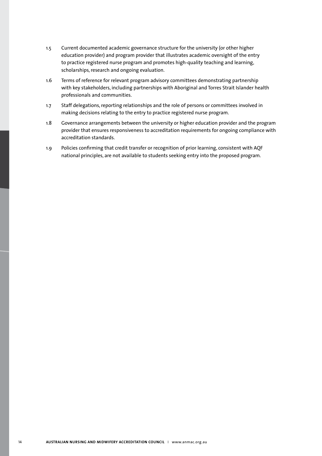- 1.5 Current documented academic governance structure for the university (or other higher education provider) and program provider that illustrates academic oversight of the entry to practice registered nurse program and promotes high-quality teaching and learning, scholarships, research and ongoing evaluation.
- 1.6 Terms of reference for relevant program advisory committees demonstrating partnership with key stakeholders, including partnerships with Aboriginal and Torres Strait Islander health professionals and communities.
- 1.7 Staff delegations, reporting relationships and the role of persons or committees involved in making decisions relating to the entry to practice registered nurse program.
- 1.8 Governance arrangements between the university or higher education provider and the program provider that ensures responsiveness to accreditation requirements for ongoing compliance with accreditation standards.
- 1.9 Policies confirming that credit transfer or recognition of prior learning, consistent with AQF national principles, are not available to students seeking entry into the proposed program.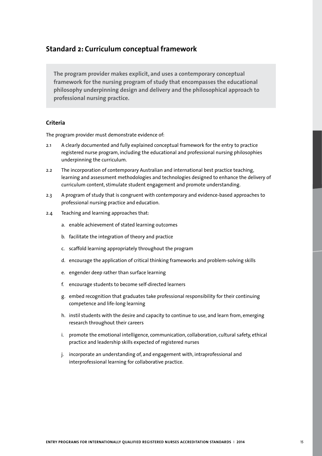## **Standard 2: Curriculum conceptual framework**

**The program provider makes explicit, and uses a contemporary conceptual framework for the nursing program of study that encompasses the educational philosophy underpinning design and delivery and the philosophical approach to professional nursing practice.** 

## **Criteria**

- 2.1 A clearly documented and fully explained conceptual framework for the entry to practice registered nurse program, including the educational and professional nursing philosophies underpinning the curriculum.
- 2.2 The incorporation of contemporary Australian and international best practice teaching, learning and assessment methodologies and technologies designed to enhance the delivery of curriculum content, stimulate student engagement and promote understanding.
- 2.3 A program of study that is congruent with contemporary and evidence-based approaches to professional nursing practice and education.
- 2.4 Teaching and learning approaches that:
	- a. enable achievement of stated learning outcomes
	- b. facilitate the integration of theory and practice
	- c. scaffold learning appropriately throughout the program
	- d. encourage the application of critical thinking frameworks and problem-solving skills
	- e. engender deep rather than surface learning
	- f. encourage students to become self-directed learners
	- g. embed recognition that graduates take professional responsibility for their continuing competence and life-long learning
	- h. instil students with the desire and capacity to continue to use, and learn from, emerging research throughout their careers
	- i. promote the emotional intelligence, communication, collaboration, cultural safety, ethical practice and leadership skills expected of registered nurses
	- j. incorporate an understanding of, and engagement with, intraprofessional and interprofessional learning for collaborative practice.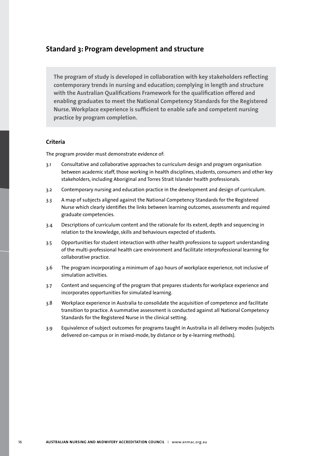## **Standard 3: Program development and structure**

**The program of study is developed in collaboration with key stakeholders reflecting contemporary trends in nursing and education; complying in length and structure with the Australian Qualifications Framework for the qualification offered and enabling graduates to meet the National Competency Standards for the Registered Nurse. Workplace experience is sufficient to enable safe and competent nursing practice by program completion.** 

### **Criteria**

- 3.1 Consultative and collaborative approaches to curriculum design and program organisation between academic staff, those working in health disciplines, students, consumers and other key stakeholders, including Aboriginal and Torres Strait Islander health professionals.
- 3.2 Contemporary nursing and education practice in the development and design of curriculum.
- 3.3 A map of subjects aligned against the National Competency Standards for the Registered Nurse which clearly identifies the links between learning outcomes, assessments and required graduate competencies.
- 3.4 Descriptions of curriculum content and the rationale for its extent, depth and sequencing in relation to the knowledge, skills and behaviours expected of students.
- 3.5 Opportunities for student interaction with other health professions to support understanding of the multi-professional health care environment and facilitate interprofessional learning for collaborative practice.
- 3.6 The program incorporating a minimum of 240 hours of workplace experience, not inclusive of simulation activities.
- 3.7 Content and sequencing of the program that prepares students for workplace experience and incorporates opportunities for simulated learning.
- 3.8 Workplace experience in Australia to consolidate the acquisition of competence and facilitate transition to practice. A summative assessment is conducted against all National Competency Standards for the Registered Nurse in the clinical setting.
- 3.9 Equivalence of subject outcomes for programs taught in Australia in all delivery modes (subjects delivered on-campus or in mixed-mode, by distance or by e-learning methods).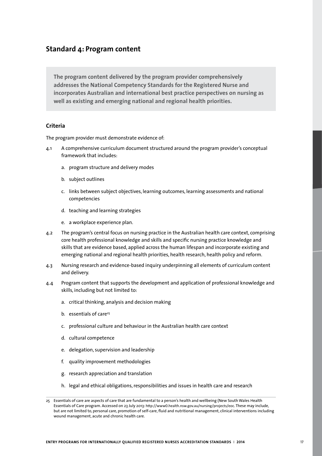## **Standard 4: Program content**

**The program content delivered by the program provider comprehensively addresses the National Competency Standards for the Registered Nurse and incorporates Australian and international best practice perspectives on nursing as well as existing and emerging national and regional health priorities.**

### **Criteria**

- 4.1 A comprehensive curriculum document structured around the program provider's conceptual framework that includes:
	- a. program structure and delivery modes
	- b. subject outlines
	- c. links between subject objectives, learning outcomes, learning assessments and national competencies
	- d. teaching and learning strategies
	- e. a workplace experience plan.
- 4.2 The program's central focus on nursing practice in the Australian health care context, comprising core health professional knowledge and skills and specific nursing practice knowledge and skills that are evidence based, applied across the human lifespan and incorporate existing and emerging national and regional health priorities, health research, health policy and reform.
- 4.3 Nursing research and evidence-based inquiry underpinning all elements of curriculum content and delivery.
- 4.4 Program content that supports the development and application of professional knowledge and skills, including but not limited to:
	- a. critical thinking, analysis and decision making
	- b. essentials of care<sup>25</sup>
	- c. professional culture and behaviour in the Australian health care context
	- d. cultural competence
	- e. delegation, supervision and leadership
	- f. quality improvement methodologies
	- g. research appreciation and translation
	- h. legal and ethical obligations, responsibilities and issues in health care and research

<sup>25</sup> Essentials of care are aspects of care that are fundamental to a person's health and wellbeing (New South Wales Health Essentials of Care program. Accessed on 23 July 2013: http://www0.health.nsw.gov.au/nursing/projects/eoc. These may include, but are not limited to, personal care, promotion of self-care, fluid and nutritional management, clinical interventions including wound management, acute and chronic health care.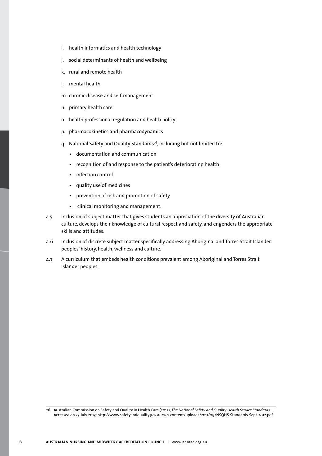- i. health informatics and health technology
- j. social determinants of health and wellbeing
- k. rural and remote health
- l. mental health
- m. chronic disease and self-management
- n. primary health care
- o. health professional regulation and health policy
- p. pharmacokinetics and pharmacodynamics
- q. National Safety and Quality Standards<sup>26</sup>, including but not limited to:
	- • documentation and communication
	- • recognition of and response to the patient's deteriorating health
	- infection control
	- • quality use of medicines
	- • prevention of risk and promotion of safety
	- • clinical monitoring and management.
- 4.5 Inclusion of subject matter that gives students an appreciation of the diversity of Australian culture, develops their knowledge of cultural respect and safety, and engenders the appropriate skills and attitudes.
- 4.6 Inclusion of discrete subject matter specifically addressing Aboriginal and Torres Strait Islander peoples' history, health, wellness and culture.
- 4.7 A curriculum that embeds health conditions prevalent among Aboriginal and Torres Strait Islander peoples.

<sup>26</sup> Australian Commission on Safety and Quality in Health Care (2012), *The National Safety and Quality Health Service Standards*. Accessed on 23 July 2013: http://www.safetyandquality.gov.au/wp-content/uploads/2011/09/NSQHS-Standards-Sept-2012.pdf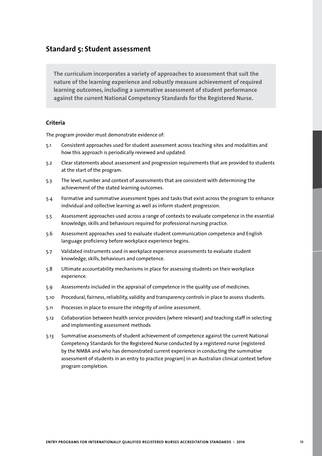## **Standard 5: Student assessment**

**The curriculum incorporates a variety of approaches to assessment that suit the nature of the learning experience and robustly measure achievement of required learning outcomes, including a summative assessment of student performance against the current National Competency Standards for the Registered Nurse.**

## **Criteria**

- 5.1 Consistent approaches used for student assessment across teaching sites and modalities and how this approach is periodically reviewed and updated.
- 5.2 Clear statements about assessment and progression requirements that are provided to students at the start of the program.
- 5.3 The level, number and context of assessments that are consistent with determining the achievement of the stated learning outcomes.
- 5.4 Formative and summative assessment types and tasks that exist across the program to enhance individual and collective learning as well as inform student progression.
- 5.5 Assessment approaches used across a range of contexts to evaluate competence in the essential knowledge, skills and behaviours required for professional nursing practice.
- 5.6 Assessment approaches used to evaluate student communication competence and English language proficiency before workplace experience begins.
- 5.7 Validated instruments used in workplace experience assessments to evaluate student knowledge, skills, behaviours and competence.
- 5.8 Ultimate accountability mechanisms in place for assessing students on their workplace experience.
- 5.9 Assessments included in the appraisal of competence in the quality use of medicines.
- 5.10 Procedural, fairness, reliability, validity and transparency controls in place to assess students.
- 5.11 Processes in place to ensure the integrity of online assessment.
- 5.12 Collaboration between health service providers (where relevant) and teaching staff in selecting and implementing assessment methods
- 5.13 Summative assessments of student achievement of competence against the current National Competency Standards for the Registered Nurse conducted by a registered nurse (registered by the NMBA and who has demonstrated current experience in conducting the summative assessment of students in an entry to practice program) in an Australian clinical context before program completion.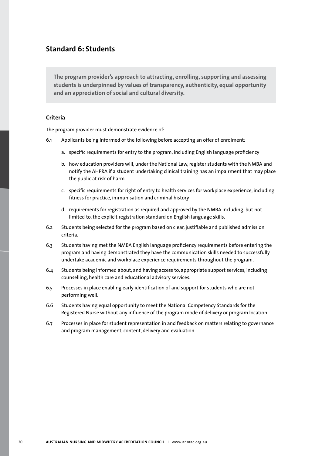# **Standard 6: Students**

**The program provider's approach to attracting, enrolling, supporting and assessing students is underpinned by values of transparency, authenticity, equal opportunity and an appreciation of social and cultural diversity.** 

### **Criteria**

- 6.1 Applicants being informed of the following before accepting an offer of enrolment:
	- a. specific requirements for entry to the program, including English language proficiency
	- b. how education providers will, under the National Law, register students with the NMBA and notify the AHPRA if a student undertaking clinical training has an impairment that may place the public at risk of harm
	- c. specific requirements for right of entry to health services for workplace experience, including fitness for practice, immunisation and criminal history
	- d. requirements for registration as required and approved by the NMBA including, but not limited to, the explicit registration standard on English language skills.
- 6.2 Students being selected for the program based on clear, justifiable and published admission criteria.
- 6.3 Students having met the NMBA English language proficiency requirements before entering the program and having demonstrated they have the communication skills needed to successfully undertake academic and workplace experience requirements throughout the program.
- 6.4 Students being informed about, and having access to, appropriate support services, including counselling, health care and educational advisory services.
- 6.5 Processes in place enabling early identification of and support for students who are not performing well.
- 6.6 Students having equal opportunity to meet the National Competency Standards for the Registered Nurse without any influence of the program mode of delivery or program location.
- 6.7 Processes in place for student representation in and feedback on matters relating to governance and program management, content, delivery and evaluation.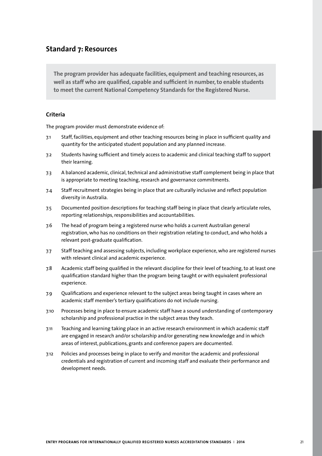## **Standard 7: Resources**

**The program provider has adequate facilities, equipment and teaching resources, as well as staff who are qualified, capable and sufficient in number, to enable students to meet the current National Competency Standards for the Registered Nurse.** 

### **Criteria**

- 7.1 Staff, facilities, equipment and other teaching resources being in place in sufficient quality and quantity for the anticipated student population and any planned increase.
- 7.2 Students having sufficient and timely access to academic and clinical teaching staff to support their learning.
- 7.3 A balanced academic, clinical, technical and administrative staff complement being in place that is appropriate to meeting teaching, research and governance commitments.
- 7.4 Staff recruitment strategies being in place that are culturally inclusive and reflect population diversity in Australia.
- 7.5 Documented position descriptions for teaching staff being in place that clearly articulate roles, reporting relationships, responsibilities and accountabilities.
- 7.6 The head of program being a registered nurse who holds a current Australian general registration, who has no conditions on their registration relating to conduct, and who holds a relevant post-graduate qualification.
- 7.7 Staff teaching and assessing subjects, including workplace experience, who are registered nurses with relevant clinical and academic experience.
- 7.8 Academic staff being qualified in the relevant discipline for their level of teaching, to at least one qualification standard higher than the program being taught or with equivalent professional experience.
- 7.9 Qualifications and experience relevant to the subject areas being taught in cases where an academic staff member's tertiary qualifications do not include nursing.
- 7.10 Processes being in place to ensure academic staff have a sound understanding of contemporary scholarship and professional practice in the subject areas they teach.
- 7.11 Teaching and learning taking place in an active research environment in which academic staff are engaged in research and/or scholarship and/or generating new knowledge and in which areas of interest, publications, grants and conference papers are documented.
- 7.12 Policies and processes being in place to verify and monitor the academic and professional credentials and registration of current and incoming staff and evaluate their performance and development needs.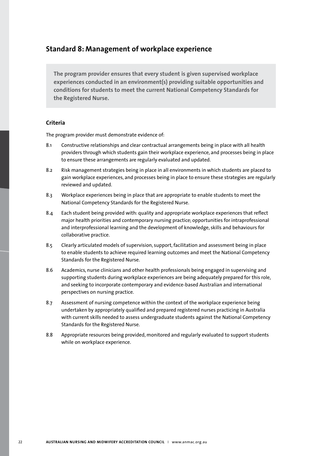## **Standard 8: Management of workplace experience**

**The program provider ensures that every student is given supervised workplace experiences conducted in an environment(s) providing suitable opportunities and conditions for students to meet the current National Competency Standards for the Registered Nurse.**

## **Criteria**

- 8.1 Constructive relationships and clear contractual arrangements being in place with all health providers through which students gain their workplace experience, and processes being in place to ensure these arrangements are regularly evaluated and updated.
- 8.2 Risk management strategies being in place in all environments in which students are placed to gain workplace experiences, and processes being in place to ensure these strategies are regularly reviewed and updated.
- 8.3 Workplace experiences being in place that are appropriate to enable students to meet the National Competency Standards for the Registered Nurse.
- 8.4 Each student being provided with: quality and appropriate workplace experiences that reflect major health priorities and contemporary nursing practice; opportunities for intraprofessional and interprofessional learning and the development of knowledge, skills and behaviours for collaborative practice.
- 8.5 Clearly articulated models of supervision, support, facilitation and assessment being in place to enable students to achieve required learning outcomes and meet the National Competency Standards for the Registered Nurse.
- 8.6 Academics, nurse clinicians and other health professionals being engaged in supervising and supporting students during workplace experiences are being adequately prepared for this role, and seeking to incorporate contemporary and evidence-based Australian and international perspectives on nursing practice.
- 8.7 Assessment of nursing competence within the context of the workplace experience being undertaken by appropriately qualified and prepared registered nurses practicing in Australia with current skills needed to assess undergraduate students against the National Competency Standards for the Registered Nurse.
- 8.8 Appropriate resources being provided, monitored and regularly evaluated to support students while on workplace experience.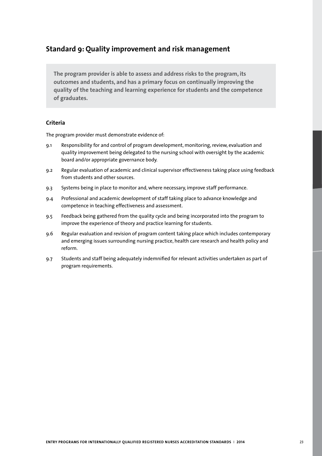# **Standard 9: Quality improvement and risk management**

**The program provider is able to assess and address risks to the program, its outcomes and students, and has a primary focus on continually improving the quality of the teaching and learning experience for students and the competence of graduates.**

## **Criteria**

- 9.1 Responsibility for and control of program development, monitoring, review, evaluation and quality improvement being delegated to the nursing school with oversight by the academic board and/or appropriate governance body.
- 9.2 Regular evaluation of academic and clinical supervisor effectiveness taking place using feedback from students and other sources.
- 9.3 Systems being in place to monitor and, where necessary, improve staff performance.
- 9.4 Professional and academic development of staff taking place to advance knowledge and competence in teaching effectiveness and assessment.
- 9.5 Feedback being gathered from the quality cycle and being incorporated into the program to improve the experience of theory and practice learning for students.
- 9.6 Regular evaluation and revision of program content taking place which includes contemporary and emerging issues surrounding nursing practice, health care research and health policy and reform.
- 9.7 Students and staff being adequately indemnified for relevant activities undertaken as part of program requirements.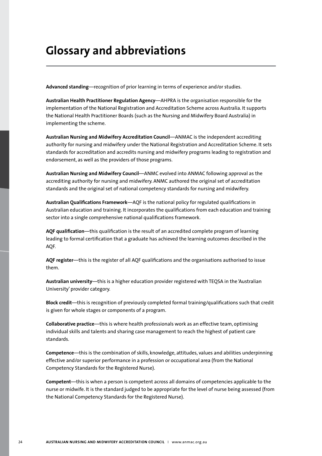# **Glossary and abbreviations**

**Advanced standing***—*recognition of prior learning in terms of experience and/or studies.

**Australian Health Practitioner Regulation Agency**—AHPRA is the organisation responsible for the implementation of the National Registration and Accreditation Scheme across Australia. It supports the National Health Practitioner Boards (such as the Nursing and Midwifery Board Australia) in implementing the scheme.

**Australian Nursing and Midwifery Accreditation Council**—ANMAC is the independent accrediting authority for nursing and midwifery under the National Registration and Accreditation Scheme. It sets standards for accreditation and accredits nursing and midwifery programs leading to registration and endorsement, as well as the providers of those programs.

**Australian Nursing and Midwifery Council**—ANMC evolved into ANMAC following approval as the accrediting authority for nursing and midwifery. ANMC authored the original set of accreditation standards and the original set of national competency standards for nursing and midwifery.

**Australian Qualifications Framework***—*AQF is the national policy for regulated qualifications in Australian education and training. It incorporates the qualifications from each education and training sector into a single comprehensive national qualifications framework.

**AQF qualification**—this qualification is the result of an accredited complete program of learning leading to formal certification that a graduate has achieved the learning outcomes described in the AQF.

**AQF register**—this is the register of all AQF qualifications and the organisations authorised to issue them.

**Australian university**—this is a higher education provider registered with TEQSA in the 'Australian University' provider category.

**Block credit**—this is recognition of previously completed formal training/qualifications such that credit is given for whole stages or components of a program.

**Collaborative practice**—this is where health professionals work as an effective team, optimising individual skills and talents and sharing case management to reach the highest of patient care standards.

**Competence**—this is the combination of skills, knowledge, attitudes, values and abilities underpinning effective and/or superior performance in a profession or occupational area (from the National Competency Standards for the Registered Nurse).

**Competent**—this is when a person is competent across all domains of competencies applicable to the nurse or midwife. It is the standard judged to be appropriate for the level of nurse being assessed (from the National Competency Standards for the Registered Nurse).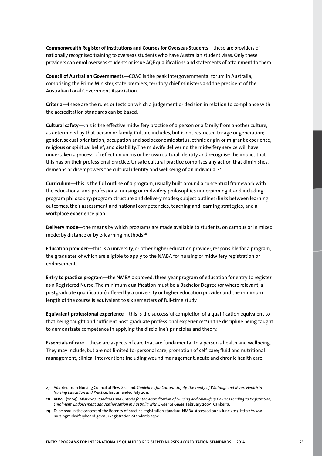**Commonwealth Register of Institutions and Courses for Overseas Students***—*these are providers of nationally recognised training to overseas students who have Australian student visas. Only these providers can enrol overseas students or issue AQF qualifications and statements of attainment to them.

**Council of Australian Governments***—*COAG is the peak intergovernmental forum in Australia, comprising the Prime Minister, state premiers, territory chief ministers and the president of the Australian Local Government Association.

**Criteria**—these are the rules or tests on which a judgement or decision in relation to compliance with the accreditation standards can be based.

**Cultural safety**—*t*his is the effective midwifery practice of a person or a family from another culture, as determined by that person or family. Culture includes, but is not restricted to: age or generation; gender; sexual orientation; occupation and socioeconomic status; ethnic origin or migrant experience; religious or spiritual belief; and disability. The midwife delivering the midwifery service will have undertaken a process of reflection on his or her own cultural identity and recognise the impact that this has on their professional practice. Unsafe cultural practice comprises any action that diminishes, demeans or disempowers the cultural identity and wellbeing of an individual.<sup>27</sup>

**Curriculum**—this is the full outline of a program, usually built around a conceptual framework with the educational and professional nursing or midwifery philosophies underpinning it and including: program philosophy; program structure and delivery modes; subject outlines; links between learning outcomes, their assessment and national competencies; teaching and learning strategies; and a workplace experience plan.

**Delivery mode**—the means by which programs are made available to students: on campus or in mixed mode; by distance or by e-learning methods.<sup>28</sup>

**Education provider**—this is a university, or other higher education provider, responsible for a program, the graduates of which are eligible to apply to the NMBA for nursing or midwifery registration or endorsement.

**Entry to practice program***—*the NMBA approved, three-year program of education for entry to register as a Registered Nurse. The minimum qualification must be a Bachelor Degree (or where relevant, a postgraduate qualification) offered by a university or higher education provider and the minimum length of the course is equivalent to six semesters of full-time study

**Equivalent professional experience**—this is the successful completion of a qualification equivalent to that being taught and sufficient post-graduate professional experience<sup>29</sup> in the discipline being taught to demonstrate competence in applying the discipline's principles and theory.

**Essentials of care***—*these are aspects of care that are fundamental to a person's health and wellbeing. They may include, but are not limited to: personal care; promotion of self-care; fluid and nutritional management; clinical interventions including wound management; acute and chronic health care.

<sup>27</sup> Adapted from Nursing Council of New Zealand, *Guidelines for Cultural Safety, the Treaty of Waitangi and Maori Health in Nursing Education and Practice*, last amended July 2011.

<sup>28</sup> ANMC (2009). *Midwives Standards and Criteria for the Accreditation of Nursing and Midwifery Courses Leading to Registration, Enrolment, Endorsement and Authorisation in Australia with Evidence Guide*. February 2009, Canberra.

<sup>29</sup> To be read in the context of the Recency of practice registration standard, NMBA. Accessed on 19 June 2013: http://www. nursingmidwiferyboard.gov.au/Registration-Standards.aspx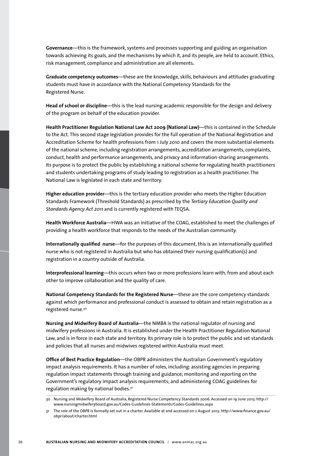**Governance***—*this is the framework, systems and processes supporting and guiding an organisation towards achieving its goals, and the mechanisms by which it, and its people, are held to account. Ethics, risk management, compliance and administration are all elements**.** 

**Graduate competency outcomes**—these are the knowledge, skills, behaviours and attitudes graduating students must have in accordance with the National Competency Standards for the Registered Nurse.

**Head of school or discipline**—this is the lead nursing academic responsible for the design and delivery of the program on behalf of the education provider.

**Health Practitioner Regulation National Law Act 2009 (National Law)**—this is contained in the Schedule to the Act. This second stage legislation provides for the full operation of the National Registration and Accreditation Scheme for health professions from 1 July 2010 and covers the more substantial elements of the national scheme, including registration arrangements, accreditation arrangements, complaints, conduct, health and performance arrangements, and privacy and information-sharing arrangements. Its purpose is to protect the public by establishing a national scheme for regulating health practitioners and students undertaking programs of study leading to registration as a health practitioner. The National Law is legislated in each state and territory.

**Higher education provider**—this is the tertiary education provider who meets the Higher Education Standards Framework (Threshold Standards) as prescribed by the *Tertiary Education Quality and Standards Agency Act 2011* and is currently registered with TEQSA.

**Health Workforce Australia**—HWA was an initiative of the COAG, established to meet the challenges of providing a health workforce that responds to the needs of the Australian community.

**Internationally qualified nurse**—for the purposes of this document, this is an internationally qualified nurse who is not registered in Australia but who has obtained their nursing qualification(s) and registration in a country outside of Australia.

**Interprofessional learning***—*this occurs when two or more professions learn with, from and about each other to improve collaboration and the quality of care.

**National Competency Standards for the Registered Nurse***—*these are the core competency standards against which performance and professional conduct is assessed to obtain and retain registration as a registered nurse.30

**Nursing and Midwifery Board of Australia***—*the NMBA is the national regulator of nursing and midwifery professions in Australia. It is established under the Health Practitioner Regulation National Law, and is in force in each state and territory. Its primary role is to protect the public and set standards and policies that all nurses and midwives registered within Australia must meet.

**Office of Best Practice Regulation**—the OBPR administers the Australian Government's regulatory impact analysis requirements. It has a number of roles, including: assisting agencies in preparing regulation impact statements through training and guidance; monitoring and reporting on the Government's regulatory impact analysis requirements; and administering COAG guidelines for regulation making by national bodies.31

<sup>30</sup> Nursing and Midwifery Board of Australia, Registered Nurse Competency Standards 2006. Accessed on 19 June 2013: http:// www.nursingmidwiferyboard.gov.au/Codes-Guidelines-Statements/Codes-Guidelines.aspx

<sup>31</sup> The role of the OBPR is formally set out in a charter. Available at and accessed on 2 August 2013: http://www.finance.gov.au/ obpr/about/charter.html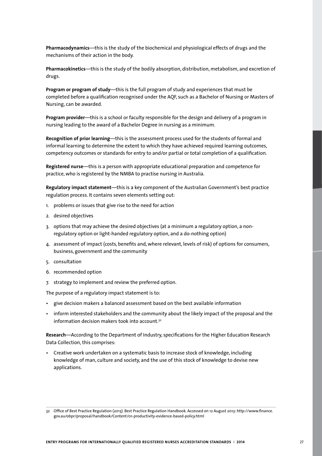**Pharmacodynamics**—this is the study of the biochemical and physiological effects of drugs and the mechanisms of their action in the body.

**Pharmacokinetics**—this is the study of the bodily absorption, distribution, metabolism, and excretion of drugs.

**Program or program of study***—*this is the full program of study and experiences that must be completed before a qualification recognised under the AQF, such as a Bachelor of Nursing or Masters of Nursing, can be awarded.

**Program provider***—*this is a school or faculty responsible for the design and delivery of a program in nursing leading to the award of a Bachelor Degree in nursing as a minimum.

**Recognition of prior learning***—*this is the assessment process used for the students of formal and informal learning to determine the extent to which they have achieved required learning outcomes, competency outcomes or standards for entry to and/or partial or total completion of a qualification.

**Registered nurse***—*this is a person with appropriate educational preparation and competence for practice, who is registered by the NMBA to practise nursing in Australia.

**Regulatory impact statement**—this is a key component of the Australian Government's best practice regulation process. It contains seven elements setting out:

- 1. problems or issues that give rise to the need for action
- 2. desired objectives
- 3. options that may achieve the desired objectives (at a minimum a regulatory option, a nonregulatory option or light-handed regulatory option, and a do-nothing option)
- 4. assessment of impact (costs, benefits and, where relevant, levels of risk) of options for consumers, business, government and the community
- 5. consultation
- 6. recommended option
- 7. strategy to implement and review the preferred option.

The purpose of a regulatory impact statement is to:

- give decision makers a balanced assessment based on the best available information
- inform interested stakeholders and the community about the likely impact of the proposal and the information decision makers took into account.<sup>32</sup>

**Research***—*According to the Department of Industry, specifications for the Higher Education Research Data Collection, this comprises:

• Creative work undertaken on a systematic basis to increase stock of knowledge, including knowledge of man, culture and society, and the use of this stock of knowledge to devise new applications.

<sup>32</sup> Office of Best Practice Regulation (2013). Best Practice Regulation Handbook. Accessed on 12 August 2013: http://www.finance. gov.au/obpr/proposal/handbook/Content/01-productivity-evidence-based-policy.html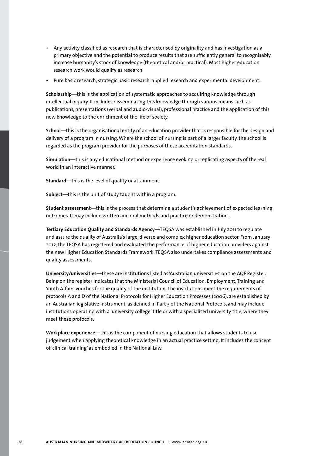- Any activity classified as research that is characterised by originality and has investigation as a primary objective and the potential to produce results that are sufficiently general to recognisably increase humanity's stock of knowledge (theoretical and/or practical). Most higher education research work would qualify as research.
- Pure basic research, strategic basic research, applied research and experimental development.

**Scholarship***—*this is the application of systematic approaches to acquiring knowledge through intellectual inquiry. It includes disseminating this knowledge through various means such as publications, presentations (verbal and audio-visual), professional practice and the application of this new knowledge to the enrichment of the life of society.

**School***—*this is the organisational entity of an education provider that is responsible for the design and delivery of a program in nursing. Where the school of nursing is part of a larger faculty, the school is regarded as the program provider for the purposes of these accreditation standards.

**Simulation***—*this is any educational method or experience evoking or replicating aspects of the real world in an interactive manner.

**Standard***—*this is the level of quality or attainment.

**Subject**—this is the unit of study taught within a program.

**Student assessment***—*this is the process that determine a student's achievement of expected learning outcomes. It may include written and oral methods and practice or demonstration.

**Tertiary Education Quality and Standards Agency***—*TEQSA was established in July 2011 to regulate and assure the quality of Australia's large, diverse and complex higher education sector. From January 2012, the TEQSA has registered and evaluated the performance of higher education providers against the new Higher Education Standards Framework. TEQSA also undertakes compliance assessments and quality assessments.

**University/universities**—these are institutions listed as 'Australian universities' on the AQF Register. Being on the register indicates that the Ministerial Council of Education, Employment, Training and Youth Affairs vouches for the quality of the institution. The institutions meet the requirements of protocols A and D of the National Protocols for Higher Education Processes (2006), are established by an Australian legislative instrument, as defined in Part 3 of the National Protocols, and may include institutions operating with a 'university college' title or with a specialised university title, where they meet these protocols.

**Workplace experience***—*this is the component of nursing education that allows students to use judgement when applying theoretical knowledge in an actual practice setting. It includes the concept of 'clinical training' as embodied in the National Law.